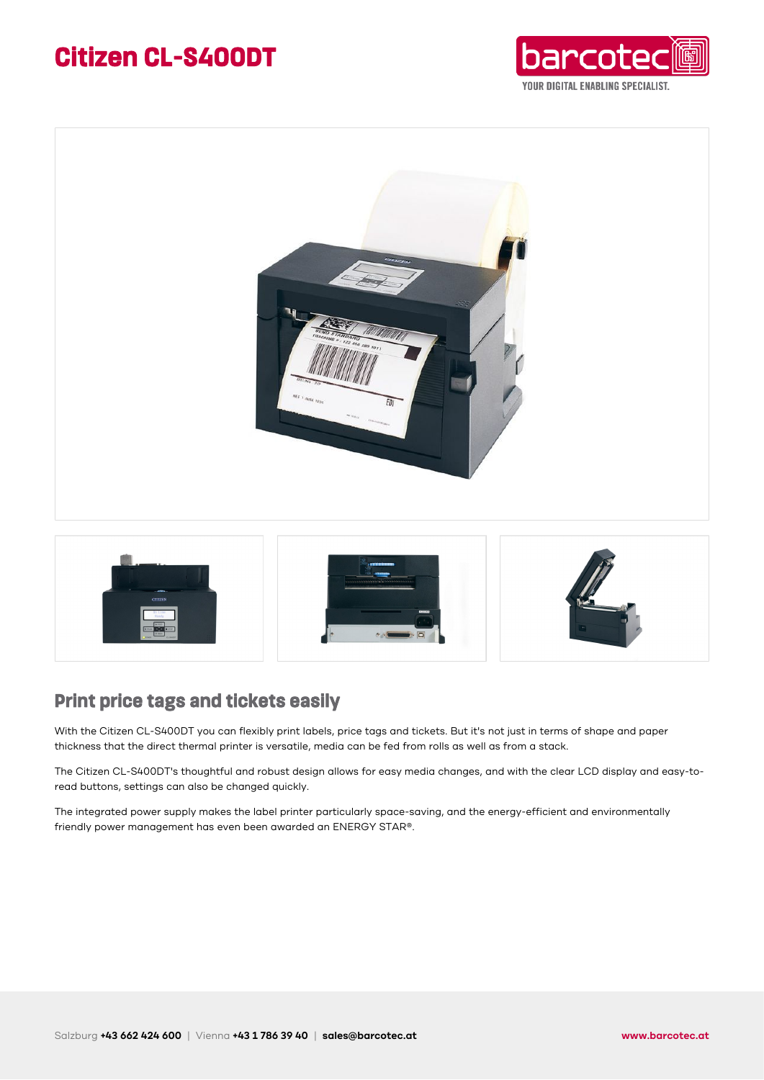### **Citizen CL-S400DT**







### **Print price tags and tickets easily**

With the Citizen CL-S400DT you can flexibly print labels, price tags and tickets. But it's not just in terms of shape and paper thickness that the direct thermal printer is versatile, media can be fed from rolls as well as from a stack.

The Citizen CL-S400DT's thoughtful and robust design allows for easy media changes, and with the clear LCD display and easy-toread buttons, settings can also be changed quickly.

The integrated power supply makes the label printer particularly space-saving, and the energy-efficient and environmentally friendly power management has even been awarded an ENERGY STAR®.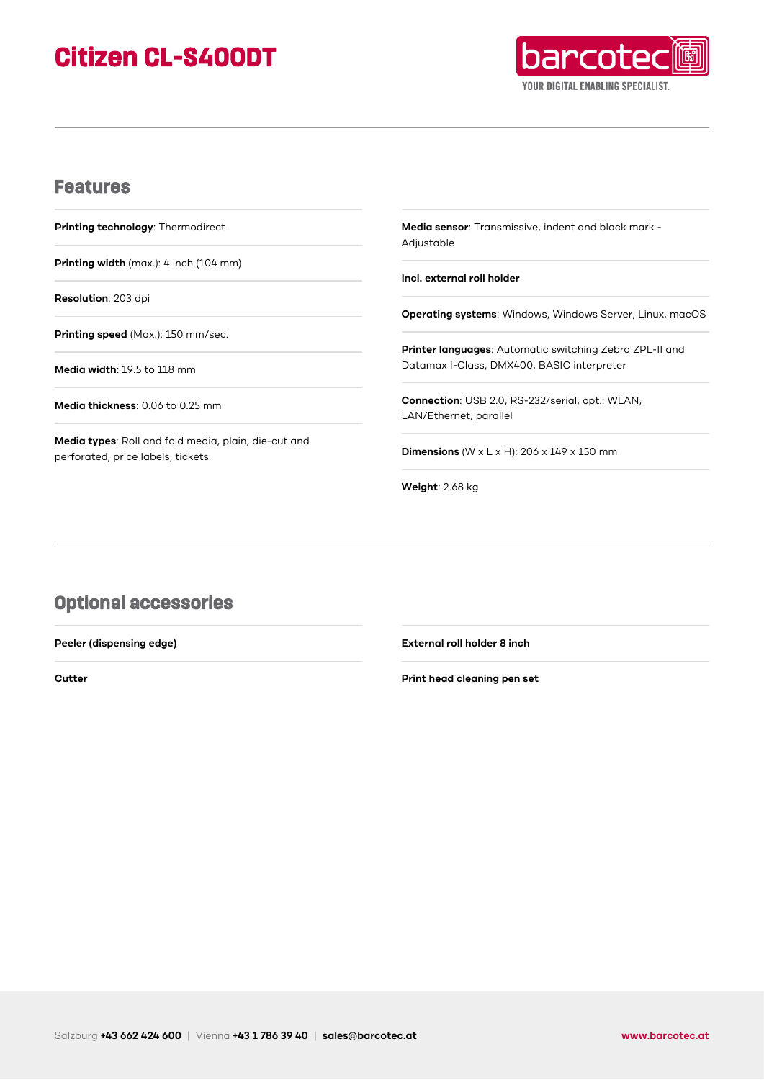## **Citizen CL-S400DT**



#### **Features**

**Printing technology**: Thermodirect

**Printing width** (max.): 4 inch (104 mm)

**Resolution**: 203 dpi

**Printing speed** (Max.): 150 mm/sec.

**Media width**: 19.5 to 118 mm

**Media thickness**: 0.06 to 0.25 mm

**Media types**: Roll and fold media, plain, die-cut and perforated, price labels, tickets

**Media sensor**: Transmissive, indent and black mark - Adjustable

**Incl. external roll holder**

**Operating systems**: Windows, Windows Server, Linux, macOS

**Printer languages**: Automatic switching Zebra ZPL-II and Datamax I-Class, DMX400, BASIC interpreter

**Connection**: USB 2.0, RS-232/serial, opt.: WLAN, LAN/Ethernet, parallel

**Dimensions** (W x L x H): 206 x 149 x 150 mm

**Weight**: 2.68 kg

### **Optional accessories**

**Peeler (dispensing edge)**

**Cutter**

**External roll holder 8 inch**

**Print head cleaning pen set**